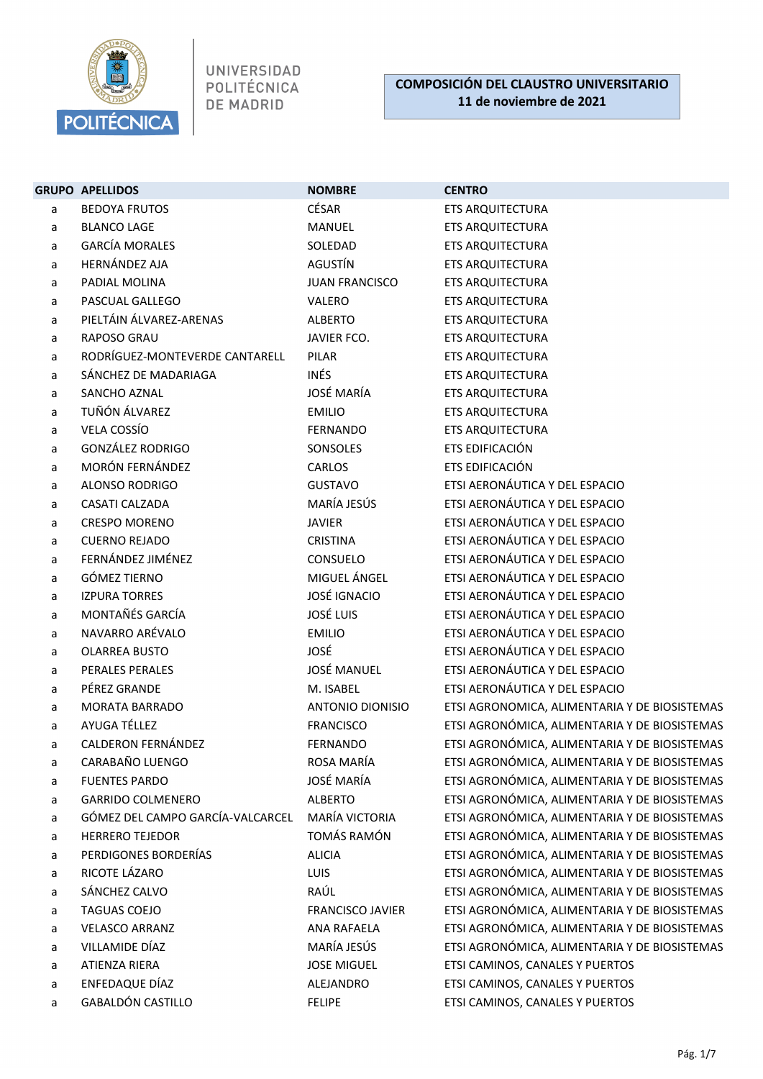

|   | <b>GRUPO APELLIDOS</b>           | <b>NOMBRE</b>           | <b>CENTRO</b>                                 |
|---|----------------------------------|-------------------------|-----------------------------------------------|
| a | <b>BEDOYA FRUTOS</b>             | CÉSAR                   | ETS ARQUITECTURA                              |
| a | <b>BLANCO LAGE</b>               | MANUEL                  | ETS ARQUITECTURA                              |
| a | <b>GARCÍA MORALES</b>            | SOLEDAD                 | <b>ETS ARQUITECTURA</b>                       |
| a | <b>HERNÁNDEZ AJA</b>             | AGUSTÍN                 | <b>ETS ARQUITECTURA</b>                       |
| a | PADIAL MOLINA                    | <b>JUAN FRANCISCO</b>   | ETS ARQUITECTURA                              |
| a | PASCUAL GALLEGO                  | VALERO                  | ETS ARQUITECTURA                              |
| a | PIELTÁIN ÁLVAREZ-ARENAS          | <b>ALBERTO</b>          | ETS ARQUITECTURA                              |
| a | RAPOSO GRAU                      | JAVIER FCO.             | <b>ETS ARQUITECTURA</b>                       |
| a | RODRÍGUEZ-MONTEVERDE CANTARELL   | PILAR                   | <b>ETS ARQUITECTURA</b>                       |
| a | SÁNCHEZ DE MADARIAGA             | <b>INÉS</b>             | ETS ARQUITECTURA                              |
| a | SANCHO AZNAL                     | <b>JOSÉ MARÍA</b>       | <b>ETS ARQUITECTURA</b>                       |
| a | TUÑÓN ÁLVAREZ                    | <b>EMILIO</b>           | ETS ARQUITECTURA                              |
| a | VELA COSSÍO                      | <b>FERNANDO</b>         | <b>ETS ARQUITECTURA</b>                       |
| a | <b>GONZÁLEZ RODRIGO</b>          | SONSOLES                | ETS EDIFICACIÓN                               |
| a | <b>MORÓN FERNÁNDEZ</b>           | CARLOS                  | ETS EDIFICACIÓN                               |
| a | ALONSO RODRIGO                   | <b>GUSTAVO</b>          | ETSI AERONÁUTICA Y DEL ESPACIO                |
| a | CASATI CALZADA                   | MARÍA JESÚS             | ETSI AERONÁUTICA Y DEL ESPACIO                |
| a | <b>CRESPO MORENO</b>             | <b>JAVIER</b>           | ETSI AERONÁUTICA Y DEL ESPACIO                |
| a | <b>CUERNO REJADO</b>             | <b>CRISTINA</b>         | ETSI AERONÁUTICA Y DEL ESPACIO                |
| a | FERNÁNDEZ JIMÉNEZ                | CONSUELO                | ETSI AERONÁUTICA Y DEL ESPACIO                |
| a | <b>GÓMEZ TIERNO</b>              | MIGUEL ÁNGEL            | ETSI AERONÁUTICA Y DEL ESPACIO                |
| a | <b>IZPURA TORRES</b>             | <b>JOSÉ IGNACIO</b>     | ETSI AERONÁUTICA Y DEL ESPACIO                |
| a | MONTAÑÉS GARCÍA                  | <b>JOSÉ LUIS</b>        | ETSI AERONÁUTICA Y DEL ESPACIO                |
| a | NAVARRO ARÉVALO                  | <b>EMILIO</b>           | ETSI AERONÁUTICA Y DEL ESPACIO                |
| a | <b>OLARREA BUSTO</b>             | JOSÉ                    | ETSI AERONÁUTICA Y DEL ESPACIO                |
| a | PERALES PERALES                  | <b>JOSÉ MANUEL</b>      | ETSI AERONÁUTICA Y DEL ESPACIO                |
| a | PÉREZ GRANDE                     | M. ISABEL               | ETSI AERONÁUTICA Y DEL ESPACIO                |
| a | <b>MORATA BARRADO</b>            | ANTONIO DIONISIO        | ETSI AGRONOMICA, ALIMENTARIA Y DE BIOSISTEMAS |
| a | AYUGA TÉLLEZ                     | <b>FRANCISCO</b>        | ETSI AGRONÓMICA, ALIMENTARIA Y DE BIOSISTEMAS |
| a | CALDERON FERNÁNDEZ               | <b>FERNANDO</b>         | ETSI AGRONÓMICA, ALIMENTARIA Y DE BIOSISTEMAS |
| a | CARABAÑO LUENGO                  | ROSA MARÍA              | ETSI AGRONÓMICA, ALIMENTARIA Y DE BIOSISTEMAS |
| a | <b>FUENTES PARDO</b>             | JOSÉ MARÍA              | ETSI AGRONÓMICA, ALIMENTARIA Y DE BIOSISTEMAS |
| a | <b>GARRIDO COLMENERO</b>         | <b>ALBERTO</b>          | ETSI AGRONÓMICA, ALIMENTARIA Y DE BIOSISTEMAS |
| a | GÓMEZ DEL CAMPO GARCÍA-VALCARCEL | MARÍA VICTORIA          | ETSI AGRONÓMICA, ALIMENTARIA Y DE BIOSISTEMAS |
| a | <b>HERRERO TEJEDOR</b>           | TOMÁS RAMÓN             | ETSI AGRONÓMICA, ALIMENTARIA Y DE BIOSISTEMAS |
| a | PERDIGONES BORDERÍAS             | <b>ALICIA</b>           | ETSI AGRONÓMICA, ALIMENTARIA Y DE BIOSISTEMAS |
| a | RICOTE LÁZARO                    | <b>LUIS</b>             | ETSI AGRONÓMICA, ALIMENTARIA Y DE BIOSISTEMAS |
| a | SÁNCHEZ CALVO                    | RAÚL                    | ETSI AGRONÓMICA, ALIMENTARIA Y DE BIOSISTEMAS |
| a | <b>TAGUAS COEJO</b>              | <b>FRANCISCO JAVIER</b> | ETSI AGRONÓMICA, ALIMENTARIA Y DE BIOSISTEMAS |
| a | <b>VELASCO ARRANZ</b>            | ANA RAFAELA             | ETSI AGRONÓMICA, ALIMENTARIA Y DE BIOSISTEMAS |
| a | VILLAMIDE DÍAZ                   | MARÍA JESÚS             | ETSI AGRONÓMICA, ALIMENTARIA Y DE BIOSISTEMAS |
| a | ATIENZA RIERA                    | <b>JOSE MIGUEL</b>      | ETSI CAMINOS, CANALES Y PUERTOS               |
| a | ENFEDAQUE DÍAZ                   | ALEJANDRO               | ETSI CAMINOS, CANALES Y PUERTOS               |
| a | <b>GABALDÓN CASTILLO</b>         | <b>FELIPE</b>           | ETSI CAMINOS, CANALES Y PUERTOS               |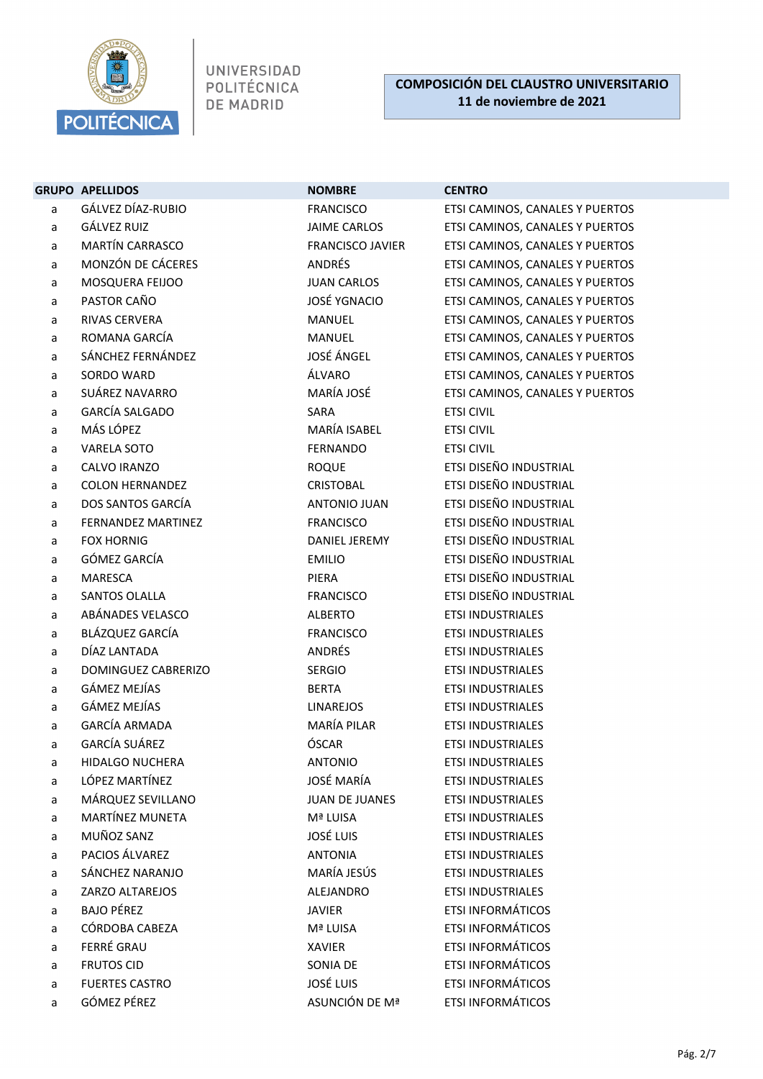

|   | <b>GRUPO APELLIDOS</b>    | <b>NOMBRE</b>           | <b>CENTRO</b>                   |
|---|---------------------------|-------------------------|---------------------------------|
| a | GÁLVEZ DÍAZ-RUBIO         | <b>FRANCISCO</b>        | ETSI CAMINOS, CANALES Y PUERTOS |
| a | GÁLVEZ RUIZ               | <b>JAIME CARLOS</b>     | ETSI CAMINOS, CANALES Y PUERTOS |
| a | <b>MARTÍN CARRASCO</b>    | <b>FRANCISCO JAVIER</b> | ETSI CAMINOS, CANALES Y PUERTOS |
| а | MONZÓN DE CÁCERES         | ANDRÉS                  | ETSI CAMINOS, CANALES Y PUERTOS |
| a | MOSQUERA FEIJOO           | <b>JUAN CARLOS</b>      | ETSI CAMINOS, CANALES Y PUERTOS |
| а | PASTOR CAÑO               | <b>JOSÉ YGNACIO</b>     | ETSI CAMINOS, CANALES Y PUERTOS |
| a | RIVAS CERVERA             | <b>MANUEL</b>           | ETSI CAMINOS, CANALES Y PUERTOS |
| a | ROMANA GARCÍA             | MANUEL                  | ETSI CAMINOS, CANALES Y PUERTOS |
| а | SÁNCHEZ FERNÁNDEZ         | JOSÉ ÁNGEL              | ETSI CAMINOS, CANALES Y PUERTOS |
| a | SORDO WARD                | ÁLVARO                  | ETSI CAMINOS, CANALES Y PUERTOS |
| a | SUÁREZ NAVARRO            | MARÍA JOSÉ              | ETSI CAMINOS, CANALES Y PUERTOS |
| а | GARCÍA SALGADO            | <b>SARA</b>             | <b>ETSI CIVIL</b>               |
| а | MÁS LÓPEZ                 | MARÍA ISABEL            | <b>ETSI CIVIL</b>               |
| a | <b>VARELA SOTO</b>        | <b>FERNANDO</b>         | <b>ETSI CIVIL</b>               |
| a | CALVO IRANZO              | <b>ROQUE</b>            | ETSI DISEÑO INDUSTRIAL          |
| a | <b>COLON HERNANDEZ</b>    | <b>CRISTOBAL</b>        | <b>ETSI DISEÑO INDUSTRIAL</b>   |
| a | DOS SANTOS GARCÍA         | ANTONIO JUAN            | <b>ETSI DISEÑO INDUSTRIAL</b>   |
| a | <b>FERNANDEZ MARTINEZ</b> | <b>FRANCISCO</b>        | ETSI DISEÑO INDUSTRIAL          |
| a | <b>FOX HORNIG</b>         | DANIEL JEREMY           | <b>ETSI DISEÑO INDUSTRIAL</b>   |
| a | GÓMEZ GARCÍA              | <b>EMILIO</b>           | ETSI DISEÑO INDUSTRIAL          |
| a | <b>MARESCA</b>            | PIERA                   | ETSI DISEÑO INDUSTRIAL          |
| а | SANTOS OLALLA             | <b>FRANCISCO</b>        | ETSI DISEÑO INDUSTRIAL          |
| a | ABÁNADES VELASCO          | <b>ALBERTO</b>          | <b>ETSI INDUSTRIALES</b>        |
| а | BLÁZQUEZ GARCÍA           | <b>FRANCISCO</b>        | <b>ETSI INDUSTRIALES</b>        |
| a | DÍAZ LANTADA              | <b>ANDRÉS</b>           | <b>ETSI INDUSTRIALES</b>        |
| a | DOMINGUEZ CABRERIZO       | <b>SERGIO</b>           | <b>ETSI INDUSTRIALES</b>        |
| a | GÁMEZ MEJÍAS              | <b>BERTA</b>            | <b>ETSI INDUSTRIALES</b>        |
| a | GÁMEZ MEJÍAS              | <b>LINAREJOS</b>        | <b>ETSI INDUSTRIALES</b>        |
| a | <b>GARCÍA ARMADA</b>      | MARÍA PILAR             | <b>ETSI INDUSTRIALES</b>        |
| a | GARCÍA SUÁREZ             | ÓSCAR                   | <b>ETSI INDUSTRIALES</b>        |
| a | <b>HIDALGO NUCHERA</b>    | <b>ANTONIO</b>          | <b>ETSI INDUSTRIALES</b>        |
| a | LÓPEZ MARTÍNEZ            | <b>JOSÉ MARÍA</b>       | <b>ETSI INDUSTRIALES</b>        |
| а | MÁRQUEZ SEVILLANO         | <b>JUAN DE JUANES</b>   | <b>ETSI INDUSTRIALES</b>        |
| а | MARTÍNEZ MUNETA           | Mª LUISA                | <b>ETSI INDUSTRIALES</b>        |
| а | MUÑOZ SANZ                | <b>JOSÉ LUIS</b>        | <b>ETSI INDUSTRIALES</b>        |
| а | PACIOS ÁLVAREZ            | <b>ANTONIA</b>          | <b>ETSI INDUSTRIALES</b>        |
| а | SÁNCHEZ NARANJO           | MARÍA JESÚS             | <b>ETSI INDUSTRIALES</b>        |
| a | ZARZO ALTAREJOS           | <b>ALEJANDRO</b>        | <b>ETSI INDUSTRIALES</b>        |
| а | <b>BAJO PÉREZ</b>         | <b>JAVIER</b>           | <b>ETSI INFORMÁTICOS</b>        |
| а | CÓRDOBA CABEZA            | Mª LUISA                | <b>ETSI INFORMÁTICOS</b>        |
| a | FERRÉ GRAU                | <b>XAVIER</b>           | <b>ETSI INFORMÁTICOS</b>        |
| a | <b>FRUTOS CID</b>         | SONIA DE                | <b>ETSI INFORMÁTICOS</b>        |
| а | <b>FUERTES CASTRO</b>     | <b>JOSÉ LUIS</b>        | <b>ETSI INFORMÁTICOS</b>        |
| a | GÓMEZ PÉREZ               | ASUNCIÓN DE Mª          | ETSI INFORMÁTICOS               |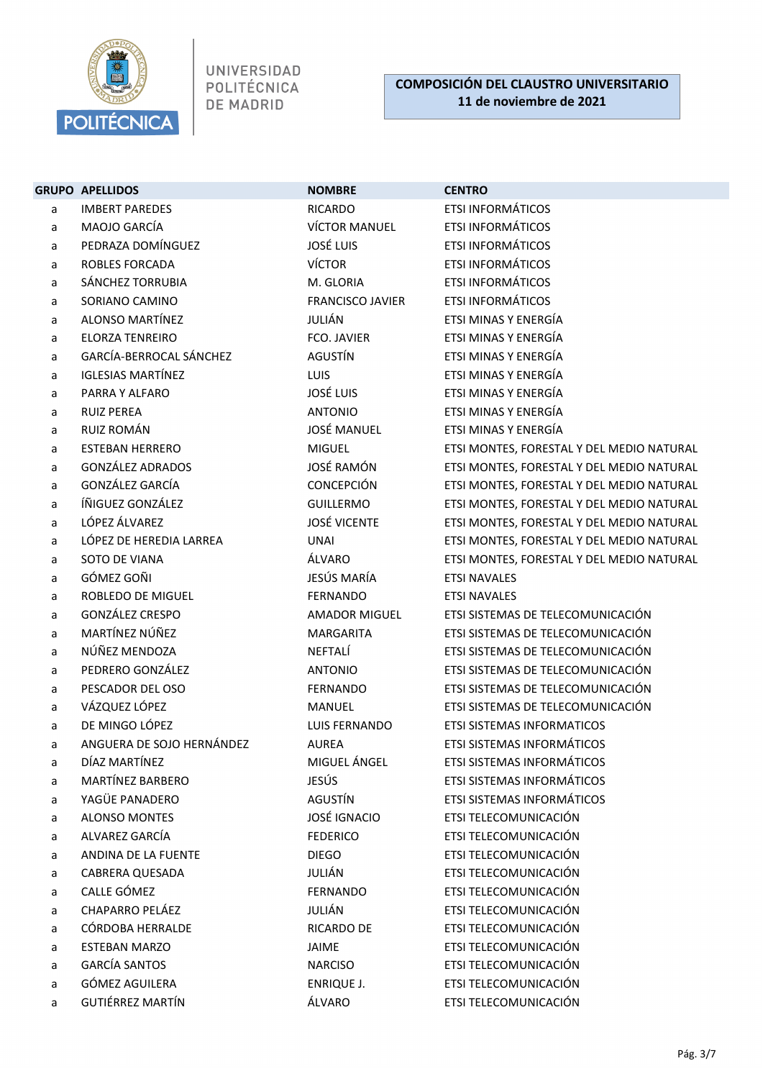

|   | <b>GRUPO APELLIDOS</b>    | <b>NOMBRE</b>           | <b>CENTRO</b>                             |
|---|---------------------------|-------------------------|-------------------------------------------|
| a | <b>IMBERT PAREDES</b>     | <b>RICARDO</b>          | <b>ETSI INFORMÁTICOS</b>                  |
| a | MAOJO GARCÍA              | <b>VÍCTOR MANUEL</b>    | <b>ETSI INFORMÁTICOS</b>                  |
| a | PEDRAZA DOMÍNGUEZ         | <b>JOSÉ LUIS</b>        | <b>ETSI INFORMÁTICOS</b>                  |
| a | <b>ROBLES FORCADA</b>     | <b>VÍCTOR</b>           | <b>ETSI INFORMÁTICOS</b>                  |
| a | SÁNCHEZ TORRUBIA          | M. GLORIA               | <b>ETSI INFORMÁTICOS</b>                  |
| a | SORIANO CAMINO            | <b>FRANCISCO JAVIER</b> | <b>ETSI INFORMÁTICOS</b>                  |
| a | <b>ALONSO MARTÍNEZ</b>    | JULIÁN                  | ETSI MINAS Y ENERGÍA                      |
| a | <b>ELORZA TENREIRO</b>    | <b>FCO. JAVIER</b>      | ETSI MINAS Y ENERGÍA                      |
| a | GARCÍA-BERROCAL SÁNCHEZ   | AGUSTÍN                 | ETSI MINAS Y ENERGÍA                      |
| a | <b>IGLESIAS MARTÍNEZ</b>  | <b>LUIS</b>             | ETSI MINAS Y ENERGÍA                      |
| a | PARRA Y ALFARO            | <b>JOSÉ LUIS</b>        | ETSI MINAS Y ENERGÍA                      |
| a | <b>RUIZ PEREA</b>         | <b>ANTONIO</b>          | ETSI MINAS Y ENERGÍA                      |
| a | RUIZ ROMÁN                | <b>JOSÉ MANUEL</b>      | ETSI MINAS Y ENERGÍA                      |
| a | <b>ESTEBAN HERRERO</b>    | <b>MIGUEL</b>           | ETSI MONTES, FORESTAL Y DEL MEDIO NATURAL |
| a | <b>GONZÁLEZ ADRADOS</b>   | JOSÉ RAMÓN              | ETSI MONTES, FORESTAL Y DEL MEDIO NATURAL |
| a | GONZÁLEZ GARCÍA           | CONCEPCIÓN              | ETSI MONTES, FORESTAL Y DEL MEDIO NATURAL |
| a | ÍÑIGUEZ GONZÁLEZ          | <b>GUILLERMO</b>        | ETSI MONTES, FORESTAL Y DEL MEDIO NATURAL |
| a | LÓPEZ ÁLVAREZ             | <b>JOSÉ VICENTE</b>     | ETSI MONTES, FORESTAL Y DEL MEDIO NATURAL |
| a | LÓPEZ DE HEREDIA LARREA   | <b>UNAI</b>             | ETSI MONTES, FORESTAL Y DEL MEDIO NATURAL |
| a | SOTO DE VIANA             | ÁLVARO                  | ETSI MONTES, FORESTAL Y DEL MEDIO NATURAL |
| a | GÓMEZ GOÑI                | JESÚS MARÍA             | <b>ETSI NAVALES</b>                       |
| a | ROBLEDO DE MIGUEL         | <b>FERNANDO</b>         | <b>ETSI NAVALES</b>                       |
| a | GONZÁLEZ CRESPO           | <b>AMADOR MIGUEL</b>    | ETSI SISTEMAS DE TELECOMUNICACIÓN         |
| a | MARTÍNEZ NÚÑEZ            | <b>MARGARITA</b>        | ETSI SISTEMAS DE TELECOMUNICACIÓN         |
| a | NÚÑEZ MENDOZA             | NEFTALÍ                 | ETSI SISTEMAS DE TELECOMUNICACIÓN         |
| a | PEDRERO GONZÁLEZ          | <b>ANTONIO</b>          | ETSI SISTEMAS DE TELECOMUNICACIÓN         |
| a | PESCADOR DEL OSO          | <b>FERNANDO</b>         | ETSI SISTEMAS DE TELECOMUNICACIÓN         |
| a | VÁZQUEZ LÓPEZ             | <b>MANUEL</b>           | ETSI SISTEMAS DE TELECOMUNICACIÓN         |
| a | DE MINGO LÓPEZ            | LUIS FERNANDO           | <b>ETSI SISTEMAS INFORMATICOS</b>         |
| a | ANGUERA DE SOJO HERNÁNDEZ | <b>AUREA</b>            | ETSI SISTEMAS INFORMÁTICOS                |
| a | DÍAZ MARTÍNEZ             | MIGUEL ÁNGEL            | ETSI SISTEMAS INFORMÁTICOS                |
| a | MARTÍNEZ BARBERO          | JESÚS                   | ETSI SISTEMAS INFORMÁTICOS                |
| a | YAGÜE PANADERO            | AGUSTÍN                 | ETSI SISTEMAS INFORMÁTICOS                |
| a | <b>ALONSO MONTES</b>      | <b>JOSÉ IGNACIO</b>     | ETSI TELECOMUNICACIÓN                     |
| a | ALVAREZ GARCÍA            | <b>FEDERICO</b>         | ETSI TELECOMUNICACIÓN                     |
| a | ANDINA DE LA FUENTE       | <b>DIEGO</b>            | ETSI TELECOMUNICACIÓN                     |
| a | <b>CABRERA QUESADA</b>    | JULIÁN                  | ETSI TELECOMUNICACIÓN                     |
| a | CALLE GÓMEZ               | <b>FERNANDO</b>         | ETSI TELECOMUNICACIÓN                     |
| a | CHAPARRO PELÁEZ           | JULIÁN                  | ETSI TELECOMUNICACIÓN                     |
| a | CÓRDOBA HERRALDE          | <b>RICARDO DE</b>       | ETSI TELECOMUNICACIÓN                     |
| a | <b>ESTEBAN MARZO</b>      | JAIME                   | ETSI TELECOMUNICACIÓN                     |
| a | <b>GARCÍA SANTOS</b>      | <b>NARCISO</b>          | ETSI TELECOMUNICACIÓN                     |
| a | GÓMEZ AGUILERA            | ENRIQUE J.              | ETSI TELECOMUNICACIÓN                     |
| a | <b>GUTIÉRREZ MARTÍN</b>   | ÁLVARO                  | ETSI TELECOMUNICACIÓN                     |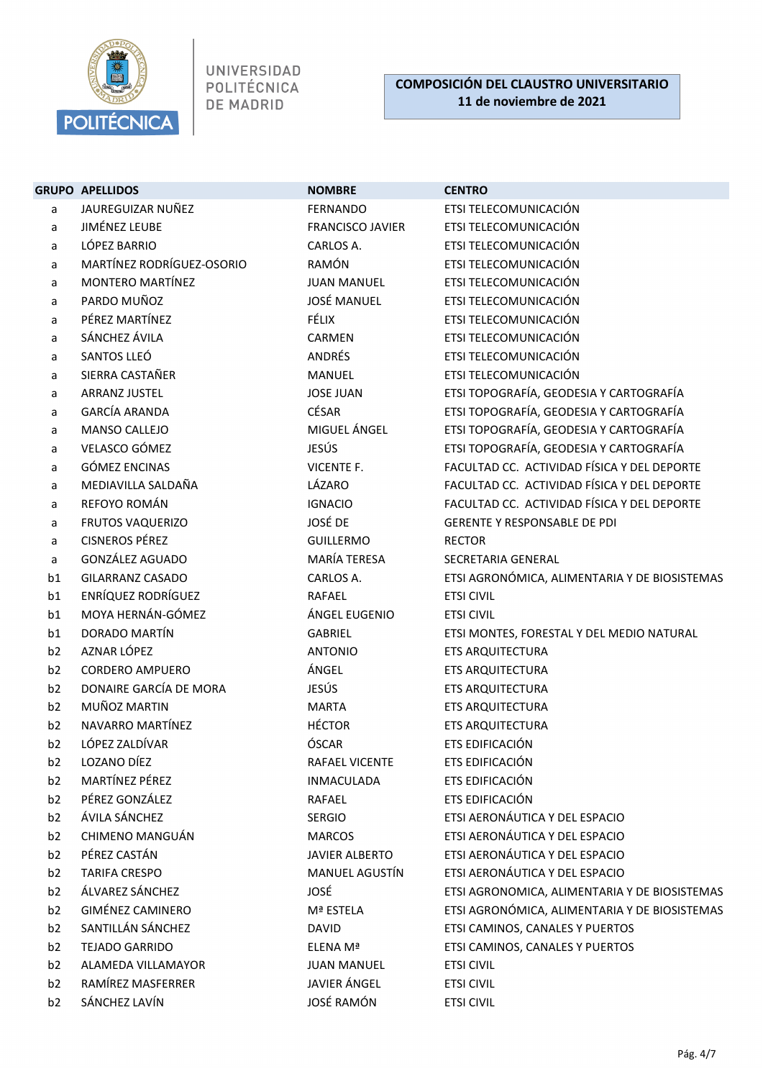

|                                  | <b>GRUPO APELLIDOS</b>          | <b>NOMBRE</b>                                  | <b>CENTRO</b>                                     |
|----------------------------------|---------------------------------|------------------------------------------------|---------------------------------------------------|
| a                                | JAUREGUIZAR NUÑEZ               | FERNANDO                                       | ETSI TELECOMUNICACIÓN                             |
| a                                | <b>JIMÉNEZ LEUBE</b>            | <b>FRANCISCO JAVIER</b>                        | ETSI TELECOMUNICACIÓN                             |
| a                                | LÓPEZ BARRIO                    | CARLOS A.                                      | ETSI TELECOMUNICACIÓN                             |
| a                                | MARTÍNEZ RODRÍGUEZ-OSORIO       | RAMÓN                                          | ETSI TELECOMUNICACIÓN                             |
| a                                | MONTERO MARTÍNEZ                | <b>JUAN MANUEL</b>                             | ETSI TELECOMUNICACIÓN                             |
| a                                | PARDO MUÑOZ                     | <b>JOSÉ MANUEL</b>                             | ETSI TELECOMUNICACIÓN                             |
| a                                | PÉREZ MARTÍNEZ                  | FÉLIX                                          | ETSI TELECOMUNICACIÓN                             |
| a                                | SÁNCHEZ ÁVILA                   | CARMEN                                         | ETSI TELECOMUNICACIÓN                             |
| a                                | SANTOS LLEÓ                     | ANDRÉS                                         | ETSI TELECOMUNICACIÓN                             |
| a                                | SIERRA CASTAÑER                 | MANUEL                                         | ETSI TELECOMUNICACIÓN                             |
| a                                | ARRANZ JUSTEL                   | <b>JOSE JUAN</b>                               | ETSI TOPOGRAFÍA, GEODESIA Y CARTOGRAFÍA           |
| a                                | <b>GARCÍA ARANDA</b>            | CÉSAR                                          | ETSI TOPOGRAFÍA, GEODESIA Y CARTOGRAFÍA           |
| a                                | MANSO CALLEJO                   | MIGUEL ÁNGEL                                   | ETSI TOPOGRAFÍA, GEODESIA Y CARTOGRAFÍA           |
| a                                | VELASCO GÓMEZ                   | JESÚS                                          | ETSI TOPOGRAFÍA, GEODESIA Y CARTOGRAFÍA           |
| a                                | <b>GÓMEZ ENCINAS</b>            | VICENTE F.                                     | FACULTAD CC. ACTIVIDAD FÍSICA Y DEL DEPORTE       |
| a                                | MEDIAVILLA SALDAÑA              | LÁZARO                                         | FACULTAD CC. ACTIVIDAD FÍSICA Y DEL DEPORTE       |
| a                                | REFOYO ROMÁN                    | <b>IGNACIO</b>                                 | FACULTAD CC. ACTIVIDAD FÍSICA Y DEL DEPORTE       |
| a                                | <b>FRUTOS VAQUERIZO</b>         | JOSÉ DE                                        | <b>GERENTE Y RESPONSABLE DE PDI</b>               |
| a                                | <b>CISNEROS PÉREZ</b>           | <b>GUILLERMO</b>                               | <b>RECTOR</b>                                     |
| a                                | <b>GONZÁLEZ AGUADO</b>          | MARÍA TERESA                                   | SECRETARIA GENERAL                                |
| b1                               | <b>GILARRANZ CASADO</b>         | CARLOS A.                                      | ETSI AGRONÓMICA, ALIMENTARIA Y DE BIOSISTEMAS     |
| b1                               | ENRÍQUEZ RODRÍGUEZ              | RAFAEL                                         | <b>ETSI CIVIL</b>                                 |
| b1                               | MOYA HERNÁN-GÓMEZ               | ÁNGEL EUGENIO                                  | <b>ETSI CIVIL</b>                                 |
| b1                               | DORADO MARTÍN                   | GABRIEL                                        | ETSI MONTES, FORESTAL Y DEL MEDIO NATURAL         |
| b2                               | AZNAR LÓPEZ                     | <b>ANTONIO</b>                                 | <b>ETS ARQUITECTURA</b>                           |
| b <sub>2</sub>                   | <b>CORDERO AMPUERO</b>          | ÁNGEL                                          | ETS ARQUITECTURA                                  |
| b2                               | DONAIRE GARCÍA DE MORA          | JESÚS                                          | ETS ARQUITECTURA                                  |
| b2                               | MUÑOZ MARTIN                    | <b>MARTA</b>                                   | <b>ETS ARQUITECTURA</b>                           |
| b <sub>2</sub>                   | NAVARRO MARTÍNEZ                | <b>HÉCTOR</b>                                  | <b>ETS ARQUITECTURA</b>                           |
| b2                               | LÓPEZ ZALDÍVAR                  | ÓSCAR                                          | ETS EDIFICACIÓN                                   |
| b <sub>2</sub>                   | LOZANO DÍEZ                     | RAFAEL VICENTE                                 | ETS EDIFICACIÓN                                   |
| b <sub>2</sub>                   | MARTÍNEZ PÉREZ                  | <b>INMACULADA</b>                              | ETS EDIFICACIÓN                                   |
| b <sub>2</sub>                   | PÉREZ GONZÁLEZ<br>ÁVILA SÁNCHEZ | RAFAEL                                         | ETS EDIFICACIÓN<br>ETSI AERONÁUTICA Y DEL ESPACIO |
| b <sub>2</sub>                   | CHIMENO MANGUÁN                 | SERGIO                                         | ETSI AERONÁUTICA Y DEL ESPACIO                    |
| b <sub>2</sub>                   | PÉREZ CASTÁN                    | <b>MARCOS</b>                                  | ETSI AERONÁUTICA Y DEL ESPACIO                    |
| b <sub>2</sub><br>b <sub>2</sub> | <b>TARIFA CRESPO</b>            | <b>JAVIER ALBERTO</b><br><b>MANUEL AGUSTÍN</b> | ETSI AERONÁUTICA Y DEL ESPACIO                    |
| b <sub>2</sub>                   | ÁLVAREZ SÁNCHEZ                 | JOSÉ                                           | ETSI AGRONOMICA, ALIMENTARIA Y DE BIOSISTEMAS     |
| b <sub>2</sub>                   | <b>GIMÉNEZ CAMINERO</b>         | Mª ESTELA                                      | ETSI AGRONÓMICA, ALIMENTARIA Y DE BIOSISTEMAS     |
| b2                               | SANTILLÁN SÁNCHEZ               | <b>DAVID</b>                                   | ETSI CAMINOS, CANALES Y PUERTOS                   |
| b2                               | <b>TEJADO GARRIDO</b>           | ELENA Mª                                       | ETSI CAMINOS, CANALES Y PUERTOS                   |
| b <sub>2</sub>                   | ALAMEDA VILLAMAYOR              | <b>JUAN MANUEL</b>                             | <b>ETSI CIVIL</b>                                 |
| b <sub>2</sub>                   | RAMÍREZ MASFERRER               | JAVIER ÁNGEL                                   | <b>ETSI CIVIL</b>                                 |
| b <sub>2</sub>                   | SÁNCHEZ LAVÍN                   | JOSÉ RAMÓN                                     | <b>ETSI CIVIL</b>                                 |
|                                  |                                 |                                                |                                                   |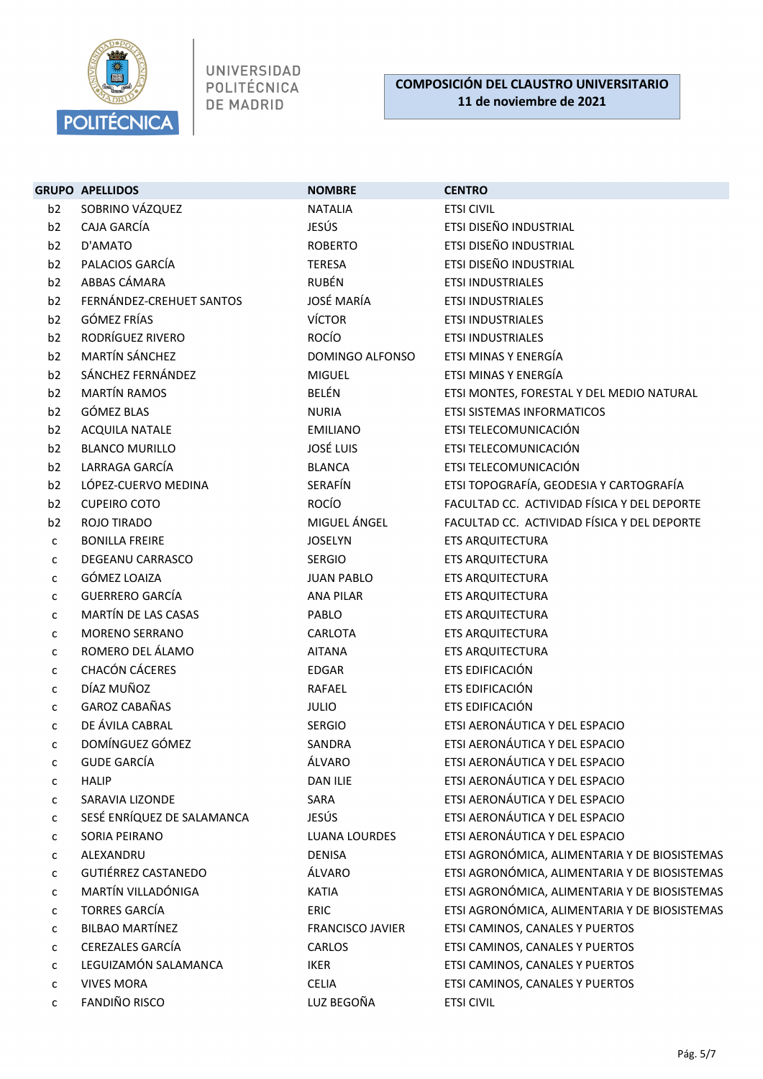

|                | <b>GRUPO APELLIDOS</b>     | <b>NOMBRE</b>           | <b>CENTRO</b>                                 |
|----------------|----------------------------|-------------------------|-----------------------------------------------|
| b2             | SOBRINO VÁZQUEZ            | <b>NATALIA</b>          | <b>ETSI CIVIL</b>                             |
| b2             | CAJA GARCÍA                | JESÚS                   | ETSI DISEÑO INDUSTRIAL                        |
| b <sub>2</sub> | D'AMATO                    | <b>ROBERTO</b>          | ETSI DISEÑO INDUSTRIAL                        |
| b2             | PALACIOS GARCÍA            | <b>TERESA</b>           | ETSI DISEÑO INDUSTRIAL                        |
| b2             | ABBAS CÁMARA               | <b>RUBÉN</b>            | <b>ETSI INDUSTRIALES</b>                      |
| b <sub>2</sub> | FERNÁNDEZ-CREHUET SANTOS   | <b>JOSÉ MARÍA</b>       | <b>ETSI INDUSTRIALES</b>                      |
| b <sub>2</sub> | GÓMEZ FRÍAS                | VÍCTOR                  | <b>ETSI INDUSTRIALES</b>                      |
| b <sub>2</sub> | RODRÍGUEZ RIVERO           | <b>ROCÍO</b>            | ETSI INDUSTRIALES                             |
| b2             | <b>MARTÍN SÁNCHEZ</b>      | DOMINGO ALFONSO         | ETSI MINAS Y ENERGÍA                          |
| b <sub>2</sub> | SÁNCHEZ FERNÁNDEZ          | <b>MIGUEL</b>           | ETSI MINAS Y ENERGÍA                          |
| b2             | <b>MARTÍN RAMOS</b>        | BELÉN                   | ETSI MONTES, FORESTAL Y DEL MEDIO NATURAL     |
| b <sub>2</sub> | GÓMEZ BLAS                 | <b>NURIA</b>            | ETSI SISTEMAS INFORMATICOS                    |
| b <sub>2</sub> | <b>ACQUILA NATALE</b>      | <b>EMILIANO</b>         | ETSI TELECOMUNICACIÓN                         |
| b2             | <b>BLANCO MURILLO</b>      | <b>JOSÉ LUIS</b>        | ETSI TELECOMUNICACIÓN                         |
| b2             | LARRAGA GARCÍA             | <b>BLANCA</b>           | ETSI TELECOMUNICACIÓN                         |
| b2             | LÓPEZ-CUERVO MEDINA        | SERAFÍN                 | ETSI TOPOGRAFÍA, GEODESIA Y CARTOGRAFÍA       |
| b <sub>2</sub> | <b>CUPEIRO COTO</b>        | <b>ROCÍO</b>            | FACULTAD CC. ACTIVIDAD FÍSICA Y DEL DEPORTE   |
| b <sub>2</sub> | ROJO TIRADO                | MIGUEL ÁNGEL            | FACULTAD CC. ACTIVIDAD FÍSICA Y DEL DEPORTE   |
| c              | <b>BONILLA FREIRE</b>      | <b>JOSELYN</b>          | <b>ETS ARQUITECTURA</b>                       |
| С              | <b>DEGEANU CARRASCO</b>    | <b>SERGIO</b>           | <b>ETS ARQUITECTURA</b>                       |
| c              | GÓMEZ LOAIZA               | <b>JUAN PABLO</b>       | <b>ETS ARQUITECTURA</b>                       |
| c              | <b>GUERRERO GARCÍA</b>     | <b>ANA PILAR</b>        | ETS ARQUITECTURA                              |
| С              | MARTÍN DE LAS CASAS        | PABLO                   | <b>ETS ARQUITECTURA</b>                       |
| c              | <b>MORENO SERRANO</b>      | CARLOTA                 | <b>ETS ARQUITECTURA</b>                       |
| С              | ROMERO DEL ÁLAMO           | <b>AITANA</b>           | <b>ETS ARQUITECTURA</b>                       |
| c              | <b>CHACÓN CÁCERES</b>      | EDGAR                   | ETS EDIFICACIÓN                               |
| С              | DÍAZ MUÑOZ                 | <b>RAFAEL</b>           | ETS EDIFICACIÓN                               |
| С              | <b>GAROZ CABAÑAS</b>       | <b>JULIO</b>            | ETS EDIFICACIÓN                               |
| C              | DE ÁVILA CABRAL            | <b>SERGIO</b>           | ETSI AERONÁUTICA Y DEL ESPACIO                |
| C              | DOMÍNGUEZ GÓMEZ            | SANDRA                  | ETSI AERONÁUTICA Y DEL ESPACIO                |
| с              | <b>GUDE GARCÍA</b>         | ÁLVARO                  | ETSI AERONÁUTICA Y DEL ESPACIO                |
| с              | <b>HALIP</b>               | <b>DAN ILIE</b>         | ETSI AERONÁUTICA Y DEL ESPACIO                |
| с              | SARAVIA LIZONDE            | SARA                    | ETSI AERONÁUTICA Y DEL ESPACIO                |
| с              | SESÉ ENRÍQUEZ DE SALAMANCA | <b>JESÚS</b>            | ETSI AERONÁUTICA Y DEL ESPACIO                |
| С              | SORIA PEIRANO              | <b>LUANA LOURDES</b>    | ETSI AERONÁUTICA Y DEL ESPACIO                |
| с              | ALEXANDRU                  | <b>DENISA</b>           | ETSI AGRONÓMICA, ALIMENTARIA Y DE BIOSISTEMAS |
| c              | <b>GUTIÉRREZ CASTANEDO</b> | ÁLVARO                  | ETSI AGRONÓMICA, ALIMENTARIA Y DE BIOSISTEMAS |
| С              | MARTÍN VILLADÓNIGA         | <b>KATIA</b>            | ETSI AGRONÓMICA, ALIMENTARIA Y DE BIOSISTEMAS |
| с              | <b>TORRES GARCÍA</b>       | ERIC                    | ETSI AGRONÓMICA, ALIMENTARIA Y DE BIOSISTEMAS |
| С              | <b>BILBAO MARTÍNEZ</b>     | <b>FRANCISCO JAVIER</b> | ETSI CAMINOS, CANALES Y PUERTOS               |
| C              | CEREZALES GARCÍA           | CARLOS                  | ETSI CAMINOS, CANALES Y PUERTOS               |
| c              | LEGUIZAMÓN SALAMANCA       | <b>IKER</b>             | ETSI CAMINOS, CANALES Y PUERTOS               |
| с              | <b>VIVES MORA</b>          | <b>CELIA</b>            | ETSI CAMINOS, CANALES Y PUERTOS               |
| с              | <b>FANDIÑO RISCO</b>       | LUZ BEGOÑA              | <b>ETSI CIVIL</b>                             |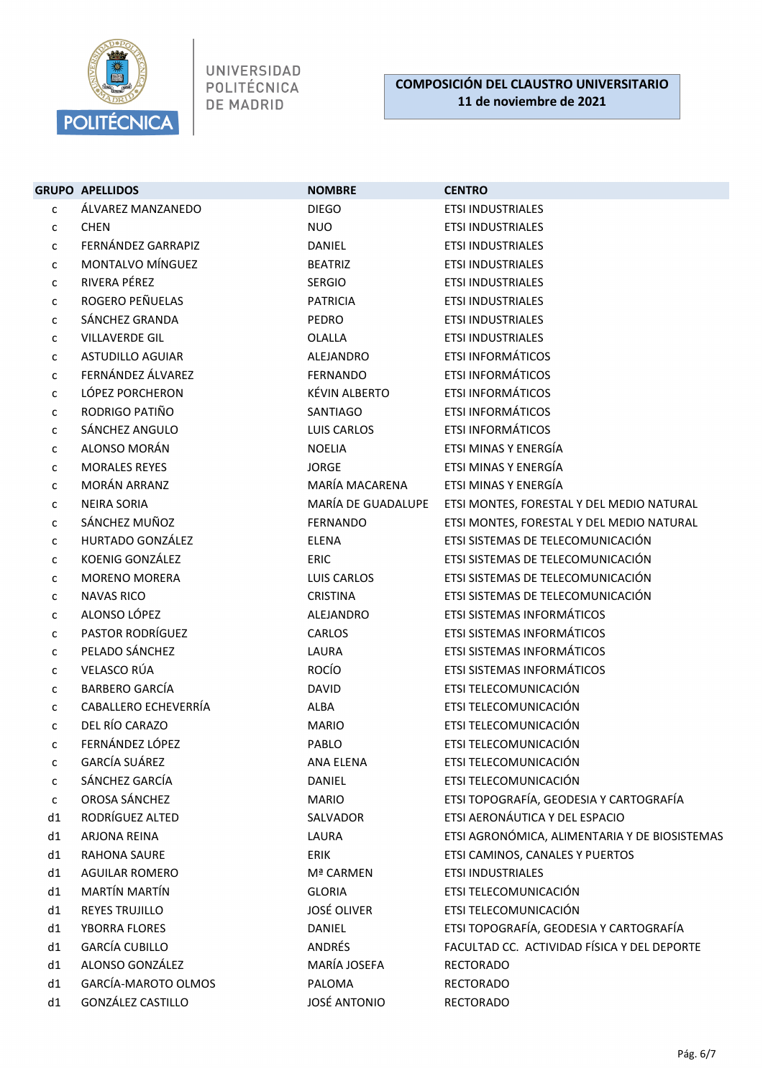

|    | <b>GRUPO APELLIDOS</b>  | <b>NOMBRE</b>       | <b>CENTRO</b>                                 |
|----|-------------------------|---------------------|-----------------------------------------------|
| c  | ÁLVAREZ MANZANEDO       | <b>DIEGO</b>        | <b>ETSI INDUSTRIALES</b>                      |
| с  | <b>CHEN</b>             | <b>NUO</b>          | <b>ETSI INDUSTRIALES</b>                      |
| C  | FERNÁNDEZ GARRAPIZ      | <b>DANIEL</b>       | <b>ETSI INDUSTRIALES</b>                      |
| c  | MONTALVO MÍNGUEZ        | <b>BEATRIZ</b>      | <b>ETSI INDUSTRIALES</b>                      |
| C  | RIVERA PÉREZ            | <b>SERGIO</b>       | <b>ETSI INDUSTRIALES</b>                      |
| с  | ROGERO PEÑUELAS         | <b>PATRICIA</b>     | <b>ETSI INDUSTRIALES</b>                      |
| C  | SÁNCHEZ GRANDA          | PEDRO               | <b>ETSI INDUSTRIALES</b>                      |
| c  | <b>VILLAVERDE GIL</b>   | OLALLA              | <b>ETSI INDUSTRIALES</b>                      |
| c  | <b>ASTUDILLO AGUIAR</b> | <b>ALEJANDRO</b>    | <b>ETSI INFORMÁTICOS</b>                      |
| c  | FERNÁNDEZ ÁLVAREZ       | <b>FERNANDO</b>     | <b>ETSI INFORMÁTICOS</b>                      |
| c  | LÓPEZ PORCHERON         | KÉVIN ALBERTO       | <b>ETSI INFORMÁTICOS</b>                      |
| C  | RODRIGO PATIÑO          | SANTIAGO            | <b>ETSI INFORMÁTICOS</b>                      |
| С  | SÁNCHEZ ANGULO          | LUIS CARLOS         | <b>ETSI INFORMÁTICOS</b>                      |
| с  | <b>ALONSO MORÁN</b>     | <b>NOELIA</b>       | ETSI MINAS Y ENERGÍA                          |
| c  | <b>MORALES REYES</b>    | <b>JORGE</b>        | ETSI MINAS Y ENERGÍA                          |
| c  | <b>MORÁN ARRANZ</b>     | MARÍA MACARENA      | ETSI MINAS Y ENERGÍA                          |
| c  | <b>NEIRA SORIA</b>      | MARÍA DE GUADALUPE  | ETSI MONTES, FORESTAL Y DEL MEDIO NATURAL     |
| C  | SÁNCHEZ MUÑOZ           | <b>FERNANDO</b>     | ETSI MONTES, FORESTAL Y DEL MEDIO NATURAL     |
| с  | HURTADO GONZÁLEZ        | <b>ELENA</b>        | ETSI SISTEMAS DE TELECOMUNICACIÓN             |
| с  | KOENIG GONZÁLEZ         | <b>ERIC</b>         | ETSI SISTEMAS DE TELECOMUNICACIÓN             |
| c  | <b>MORENO MORERA</b>    | LUIS CARLOS         | ETSI SISTEMAS DE TELECOMUNICACIÓN             |
| C  | <b>NAVAS RICO</b>       | <b>CRISTINA</b>     | ETSI SISTEMAS DE TELECOMUNICACIÓN             |
| С  | ALONSO LÓPEZ            | ALEJANDRO           | ETSI SISTEMAS INFORMÁTICOS                    |
| с  | PASTOR RODRÍGUEZ        | CARLOS              | ETSI SISTEMAS INFORMÁTICOS                    |
| c  | PELADO SÁNCHEZ          | LAURA               | ETSI SISTEMAS INFORMÁTICOS                    |
| c  | VELASCO RÚA             | <b>ROCÍO</b>        | ETSI SISTEMAS INFORMÁTICOS                    |
| C  | <b>BARBERO GARCÍA</b>   | <b>DAVID</b>        | ETSI TELECOMUNICACIÓN                         |
| C  | CABALLERO ECHEVERRÍA    | ALBA                | ETSI TELECOMUNICACIÓN                         |
| с  | DEL RÍO CARAZO          | <b>MARIO</b>        | ETSI TELECOMUNICACIÓN                         |
| с  | FERNÁNDEZ LÓPEZ         | PABLO               | ETSI TELECOMUNICACIÓN                         |
| с  | <b>GARCÍA SUÁREZ</b>    | <b>ANA ELENA</b>    | ETSI TELECOMUNICACIÓN                         |
| C  | SÁNCHEZ GARCÍA          | <b>DANIEL</b>       | ETSI TELECOMUNICACIÓN                         |
| C  | OROSA SÁNCHEZ           | <b>MARIO</b>        | ETSI TOPOGRAFÍA, GEODESIA Y CARTOGRAFÍA       |
| d1 | RODRÍGUEZ ALTED         | SALVADOR            | ETSI AERONÁUTICA Y DEL ESPACIO                |
| d1 | <b>ARJONA REINA</b>     | LAURA               | ETSI AGRONÓMICA, ALIMENTARIA Y DE BIOSISTEMAS |
| d1 | <b>RAHONA SAURE</b>     | ERIK                | ETSI CAMINOS, CANALES Y PUERTOS               |
| d1 | <b>AGUILAR ROMERO</b>   | Mª CARMEN           | <b>ETSI INDUSTRIALES</b>                      |
| d1 | <b>MARTÍN MARTÍN</b>    | <b>GLORIA</b>       | ETSI TELECOMUNICACIÓN                         |
| d1 | <b>REYES TRUJILLO</b>   | <b>JOSÉ OLIVER</b>  | ETSI TELECOMUNICACIÓN                         |
| d1 | YBORRA FLORES           | DANIEL              | ETSI TOPOGRAFÍA, GEODESIA Y CARTOGRAFÍA       |
| d1 | <b>GARCÍA CUBILLO</b>   | <b>ANDRÉS</b>       | FACULTAD CC. ACTIVIDAD FÍSICA Y DEL DEPORTE   |
| d1 | ALONSO GONZÁLEZ         | MARÍA JOSEFA        | <b>RECTORADO</b>                              |
| d1 | GARCÍA-MAROTO OLMOS     | PALOMA              | <b>RECTORADO</b>                              |
| d1 | GONZÁLEZ CASTILLO       | <b>JOSÉ ANTONIO</b> | <b>RECTORADO</b>                              |